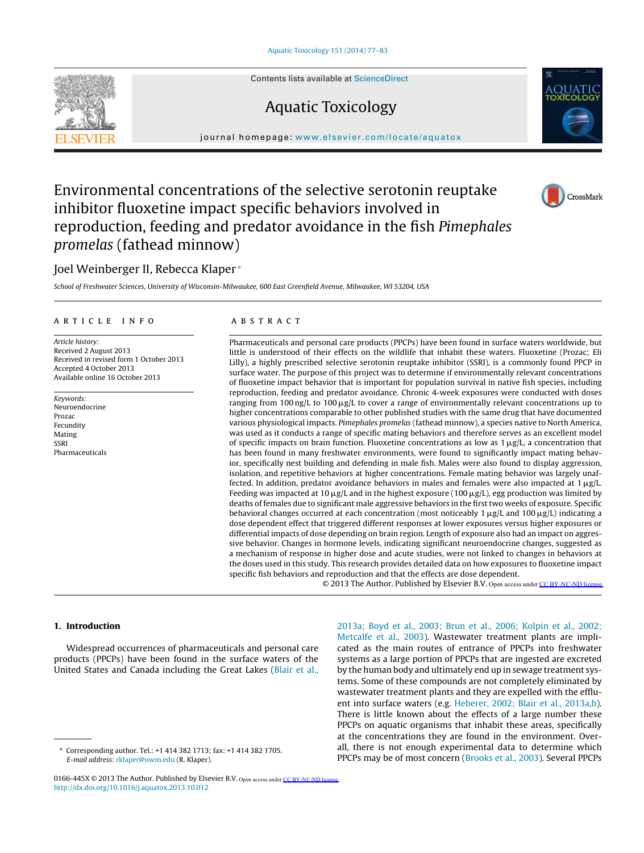Contents lists available at [ScienceDirect](http://www.sciencedirect.com/science/journal/0166445X)

# Aquatic Toxicology



# Environmental concentrations of the selective serotonin reuptake inhibitor fluoxetine impact specific behaviors involved in reproduction, feeding and predator avoidance in the fish Pimephales promelas (fathead minnow)

# Joel Weinberger II, Rebecca Klaper <sup>∗</sup>

School of Freshwater Sciences, University of Wisconsin-Milwaukee, 600 East Greenfield Avenue, Milwaukee, WI 53204, USA

#### a r t i c l e i n f o

Article history: Received 2 August 2013 Received in revised form 1 October 2013 Accepted 4 October 2013 Available online 16 October 2013

Keywords: Neuroendocrine Prozac Fecundity Mating SSRI Pharmaceuticals

# a b s t r a c t

Pharmaceuticals and personal care products (PPCPs) have been found in surface waters worldwide, but little is understood of their effects on the wildlife that inhabit these waters. Fluoxetine (Prozac; Eli Lilly), a highly prescribed selective serotonin reuptake inhibitor (SSRI), is a commonly found PPCP in surface water. The purpose of this project was to determine if environmentally relevant concentrations of fluoxetine impact behavior that is important for population survival in native fish species, including reproduction, feeding and predator avoidance. Chronic 4-week exposures were conducted with doses ranging from 100 ng/L to 100  $\mu$ g/L to cover a range of environmentally relevant concentrations up to higher concentrations comparable to other published studies with the same drug that have documented various physiological impacts. Pimephales promelas (fathead minnow), a species native to North America, was used as it conducts a range of specific mating behaviors and therefore serves as an excellent model of specific impacts on brain function. Fluoxetine concentrations as low as 1  $\mu$ g/L, a concentration that has been found in many freshwater environments, were found to significantly impact mating behavior, specifically nest building and defending in male fish. Males were also found to display aggression, isolation, and repetitive behaviors at higher concentrations. Female mating behavior was largely unaffected. In addition, predator avoidance behaviors in males and females were also impacted at  $1 \mu g/L$ . Feeding was impacted at 10  $\mu$ g/L and in the highest exposure (100  $\mu$ g/L), egg production was limited by deaths of females due to significant male aggressive behaviors in the first two weeks of exposure. Specific behavioral changes occurred at each concentration (most noticeably 1  $\mu$ g/L and 100  $\mu$ g/L) indicating a dose dependent effect that triggered different responses at lower exposures versus higher exposures or differential impacts of dose depending on brain region. Length of exposure also had an impact on aggressive behavior. Changes in hormone levels, indicating significant neuroendocrine changes, suggested as a mechanism of response in higher dose and acute studies, were not linked to changes in behaviors at the doses used in this study. This research provides detailed data on how exposures to fluoxetine impact specific fish behaviors and reproduction and that the effects are dose dependent.

© 2013 The Author. Published by Elsevier B.V. Open access under [CC BY-NC-ND license.](http://creativecommons.org/licenses/by-nc-nd/3.0/)

## **1. Introduction**

Widespread occurrences of pharmaceuticals and personal care products (PPCPs) have been found in the surface waters of the United States and Canada including the Great Lakes [\(Blair](#page-5-0) et [al.,](#page-5-0)

∗ Corresponding author. Tel.: +1 414 382 1713; fax: +1 414 382 1705. E-mail address: [rklaper@uwm.edu](mailto:rklaper@uwm.edu) (R. Klaper).

0166-445X © 2013 The Author. Published by Elsevier B.V. Open access under [CC BY-NC-ND license.](http://creativecommons.org/licenses/by-nc-nd/3.0/)[http://dx.doi.org/10.1016/j.aquatox.2013.10.012](dx.doi.org/10.1016/j.aquatox.2013.10.012)

[2013a;](#page-5-0) [Boyd](#page-5-0) et [al.,](#page-5-0) [2003;](#page-5-0) [Brun](#page-5-0) et [al.,](#page-5-0) [2006;](#page-5-0) [Kolpin](#page-5-0) et [al.,](#page-5-0) [2002;](#page-5-0) [Metcalfe](#page-5-0) et [al.,](#page-5-0) [2003\).](#page-5-0) Wastewater treatment plants are implicated as the main routes of entrance of PPCPs into freshwater systems as a large portion of PPCPs that are ingested are excreted by the human body and ultimately end up in sewage treatment systems. Some of these compounds are not completely eliminated by wastewater treatment plants and they are expelled with the effluent into surface waters (e.g. [Heberer,](#page-6-0) [2002;](#page-6-0) [Blair](#page-6-0) et [al.,](#page-6-0) [2013a,b\).](#page-6-0) There is little known about the effects of a large number these PPCPs on aquatic organisms that inhabit these areas, specifically at the concentrations they are found in the environment. Overall, there is not enough experimental data to determine which PPCPs may be of most concern ([Brooks](#page-6-0) et [al.,](#page-6-0) [2003\).](#page-6-0) Several PPCPs





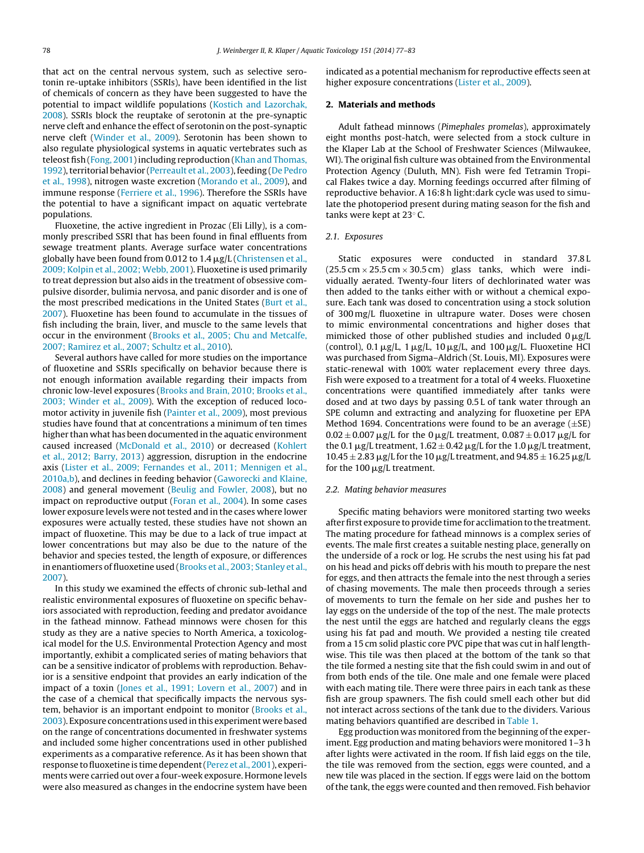that act on the central nervous system, such as selective serotonin re-uptake inhibitors (SSRIs), have been identified in the list of chemicals of concern as they have been suggested to have the potential to impact wildlife populations [\(Kostich](#page-6-0) [and](#page-6-0) [Lazorchak,](#page-6-0) [2008\).](#page-6-0) SSRIs block the reuptake of serotonin at the pre-synaptic nerve cleft and enhance the effect of serotonin on the post-synaptic nerve cleft ([Winder](#page-6-0) et [al.,](#page-6-0) [2009\).](#page-6-0) Serotonin has been shown to also regulate physiological systems in aquatic vertebrates such as teleost fish ([Fong,](#page-6-0) 2001) including reproduction ([Khan](#page-6-0) [and](#page-6-0) [Thomas,](#page-6-0) [1992\),](#page-6-0) territorial behavior [\(Perreault](#page-6-0) et [al.,](#page-6-0) [2003\),](#page-6-0) feeding ([De](#page-6-0) [Pedro](#page-6-0) et [al.,](#page-6-0) [1998\),](#page-6-0) nitrogen waste excretion ([Morando](#page-6-0) et [al.,](#page-6-0) [2009\),](#page-6-0) and immune response [\(Ferriere](#page-6-0) et [al.,](#page-6-0) [1996\).](#page-6-0) Therefore the SSRIs have the potential to have a significant impact on aquatic vertebrate populations.

Fluoxetine, the active ingredient in Prozac (Eli Lilly), is a commonly prescribed SSRI that has been found in final effluents from sewage treatment plants. Average surface water concentrations globally have been found from 0.012 to 1.4  $\rm \mu g/L$  ([Christensen](#page-6-0) et [al.,](#page-6-0) [2009;](#page-6-0) [Kolpin](#page-6-0) et [al.,](#page-6-0) [2002;](#page-6-0) [Webb,](#page-6-0) [2001\).](#page-6-0) Fluoxetine is used primarily to treat depression but also aids in the treatment of obsessive compulsive disorder, bulimia nervosa, and panic disorder and is one of the most prescribed medications in the United States ([Burt](#page-6-0) et [al.,](#page-6-0) [2007\).](#page-6-0) Fluoxetine has been found to accumulate in the tissues of fish including the brain, liver, and muscle to the same levels that occur in the environment ([Brooks](#page-6-0) et [al.,](#page-6-0) [2005;](#page-6-0) [Chu](#page-6-0) [and](#page-6-0) [Metcalfe,](#page-6-0) [2007;](#page-6-0) [Ramirez](#page-6-0) et [al.,](#page-6-0) [2007;](#page-6-0) [Schultz](#page-6-0) et [al.,](#page-6-0) [2010\).](#page-6-0)

Several authors have called for more studies on the importance of fluoxetine and SSRIs specifically on behavior because there is not enough information available regarding their impacts from chronic low-level exposures ([Brooks](#page-6-0) [and](#page-6-0) [Brain,](#page-6-0) [2010;](#page-6-0) [Brooks](#page-6-0) et [al.,](#page-6-0) [2003;](#page-6-0) [Winder](#page-6-0) et [al.,](#page-6-0) [2009\).](#page-6-0) With the exception of reduced locomotor activity in juvenile fish [\(Painter](#page-6-0) et [al.,](#page-6-0) [2009\),](#page-6-0) most previous studies have found that at concentrations a minimum of ten times higher than what has been documented in the aquatic environment caused increased ([McDonald](#page-6-0) et [al.,](#page-6-0) [2010\)](#page-6-0) or decreased [\(Kohlert](#page-6-0) et [al.,](#page-6-0) [2012;](#page-6-0) [Barry,](#page-6-0) [2013\)](#page-6-0) aggression, disruption in the endocrine axis [\(Lister](#page-6-0) et [al.,](#page-6-0) [2009;](#page-6-0) [Fernandes](#page-6-0) et [al.,](#page-6-0) [2011;](#page-6-0) [Mennigen](#page-6-0) et [al.,](#page-6-0) [2010a,b\),](#page-6-0) and declines in feeding behavior [\(Gaworecki](#page-6-0) [and](#page-6-0) [Klaine,](#page-6-0) [2008\)](#page-6-0) and general movement [\(Beulig](#page-5-0) [and](#page-5-0) [Fowler,](#page-5-0) [2008\),](#page-5-0) but no impact on reproductive output [\(Foran](#page-6-0) et [al.,](#page-6-0) [2004\).](#page-6-0) In some cases lower exposure levels were not tested and in the cases where lower exposures were actually tested, these studies have not shown an impact of fluoxetine. This may be due to a lack of true impact at lower concentrations but may also be due to the nature of the behavior and species tested, the length of exposure, or differences in enantiomers of fluoxetine used [\(Brooks](#page-6-0) et [al.,](#page-6-0) [2003;](#page-6-0) [Stanley](#page-6-0) et [al.,](#page-6-0) [2007\).](#page-6-0)

In this study we examined the effects of chronic sub-lethal and realistic environmental exposures of fluoxetine on specific behaviors associated with reproduction, feeding and predator avoidance in the fathead minnow. Fathead minnows were chosen for this study as they are a native species to North America, a toxicological model for the U.S. Environmental Protection Agency and most importantly, exhibit a complicated series of mating behaviors that can be a sensitive indicator of problems with reproduction. Behavior is a sensitive endpoint that provides an early indication of the impact of a toxin ([Jones](#page-6-0) et [al.,](#page-6-0) [1991;](#page-6-0) [Lovern](#page-6-0) et [al.,](#page-6-0) [2007\)](#page-6-0) and in the case of a chemical that specifically impacts the nervous system, behavior is an important endpoint to monitor [\(Brooks](#page-6-0) et [al.,](#page-6-0) [2003\).](#page-6-0) Exposure concentrationsusedinthis experiment were based on the range of concentrations documented in freshwater systems and included some higher concentrations used in other published experiments as a comparative reference. As it has been shown that response to fluoxetine is time dependent ([Perez](#page-6-0) et [al.,](#page-6-0) [2001\),](#page-6-0) experiments were carried out over a four-week exposure. Hormone levels were also measured as changes in the endocrine system have been

indicated as a potential mechanism for reproductive effects seen at higher exposure concentrations [\(Lister](#page-6-0) et [al.,](#page-6-0) [2009\).](#page-6-0)

### **2. Materials and methods**

Adult fathead minnows (Pimephales promelas), approximately eight months post-hatch, were selected from a stock culture in the Klaper Lab at the School of Freshwater Sciences (Milwaukee, WI). The original fish culture was obtained from the Environmental Protection Agency (Duluth, MN). Fish were fed Tetramin Tropical Flakes twice a day. Morning feedings occurred after filming of reproductive behavior. A 16:8 h light:dark cycle was used to simulate the photoperiod present during mating season for the fish and tanks were kept at 23◦ C.

#### 2.1. Exposures

Static exposures were conducted in standard 37.8 L  $(25.5 \text{ cm} \times 25.5 \text{ cm} \times 30.5 \text{ cm})$  glass tanks, which were individually aerated. Twenty-four liters of dechlorinated water was then added to the tanks either with or without a chemical exposure. Each tank was dosed to concentration using a stock solution of 300 mg/L fluoxetine in ultrapure water. Doses were chosen to mimic environmental concentrations and higher doses that mimicked those of other published studies and included  $0 \mu g/L$ (control),  $0.1 \,\mathrm{\mu g/L}$ ,  $1 \,\mathrm{\mu g/L}$ ,  $10 \,\mathrm{\mu g/L}$ , and  $100 \,\mathrm{\mu g/L}$ . Fluoxetine HCl was purchased from Sigma–Aldrich (St. Louis, MI). Exposures were static-renewal with 100% water replacement every three days. Fish were exposed to a treatment for a total of 4 weeks. Fluoxetine concentrations were quantified immediately after tanks were dosed and at two days by passing 0.5 L of tank water through an SPE column and extracting and analyzing for fluoxetine per EPA Method 1694. Concentrations were found to be an average  $(\pm SE)$  $0.02 \pm 0.007$   $\mu$ g/L for the 0  $\mu$ g/L treatment,  $0.087 \pm 0.017$   $\mu$ g/L for the 0.1  $\mu$ g/L treatment, 1.62  $\pm$  0.42  $\mu$ g/L for the 1.0  $\mu$ g/L treatment,  $10.45 \pm 2.83 \,\mathrm{\mu g/L}$  for the 10  $\mu$ g/L treatment, and 94.85  $\pm$  16.25  $\mu$ g/L for the 100  $\mu$ g/L treatment.

#### 2.2. Mating behavior measures

Specific mating behaviors were monitored starting two weeks after first exposure to provide time for acclimation to the treatment. The mating procedure for fathead minnows is a complex series of events. The male first creates a suitable nesting place, generally on the underside of a rock or log. He scrubs the nest using his fat pad on his head and picks off debris with his mouth to prepare the nest for eggs, and then attracts the female into the nest through a series of chasing movements. The male then proceeds through a series of movements to turn the female on her side and pushes her to lay eggs on the underside of the top of the nest. The male protects the nest until the eggs are hatched and regularly cleans the eggs using his fat pad and mouth. We provided a nesting tile created from a 15 cm solid plastic core PVC pipe that was cut in half lengthwise. This tile was then placed at the bottom of the tank so that the tile formed a nesting site that the fish could swim in and out of from both ends of the tile. One male and one female were placed with each mating tile. There were three pairs in each tank as these fish are group spawners. The fish could smell each other but did not interact across sections of the tank due to the dividers. Various mating behaviors quantified are described in [Table](#page-2-0) 1.

Egg production was monitored from the beginning of the experiment. Egg production and mating behaviors were monitored 1–3 h after lights were activated in the room. If fish laid eggs on the tile, the tile was removed from the section, eggs were counted, and a new tile was placed in the section. If eggs were laid on the bottom of the tank, the eggs were counted and then removed. Fish behavior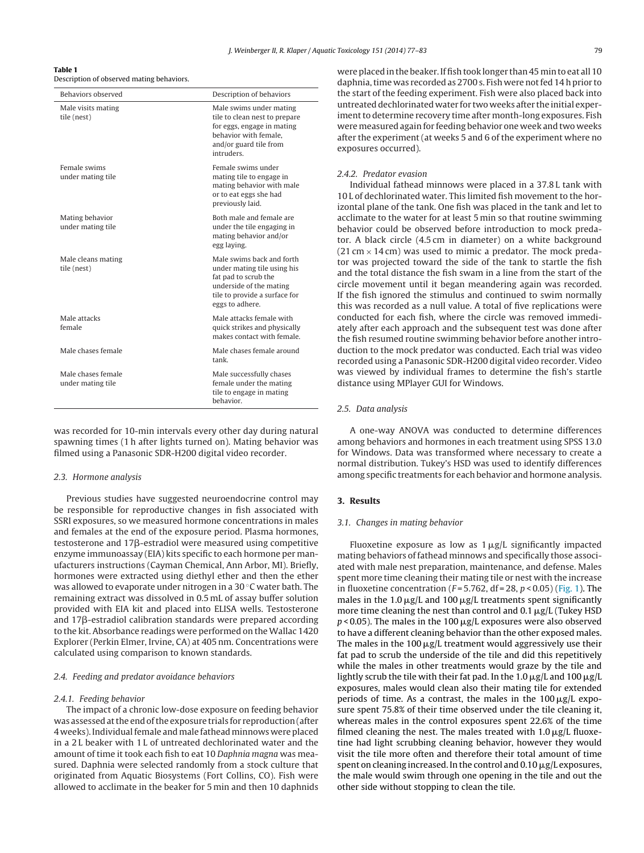<span id="page-2-0"></span>**Table 1** Description of observed mating behaviors.

| Behaviors observed                      | Description of behaviors                                                                                                                                        |  |
|-----------------------------------------|-----------------------------------------------------------------------------------------------------------------------------------------------------------------|--|
| Male visits mating<br>tile (nest)       | Male swims under mating<br>tile to clean nest to prepare<br>for eggs, engage in mating<br>behavior with female.<br>and/or guard tile from<br><i>intruders</i>   |  |
| Female swims<br>under mating tile       | Female swims under<br>mating tile to engage in<br>mating behavior with male<br>or to eat eggs she had<br>previously laid.                                       |  |
| Mating behavior<br>under mating tile    | Both male and female are<br>under the tile engaging in<br>mating behavior and/or<br>egg laying.                                                                 |  |
| Male cleans mating<br>tile (nest)       | Male swims back and forth<br>under mating tile using his<br>fat pad to scrub the<br>underside of the mating<br>tile to provide a surface for<br>eggs to adhere. |  |
| Male attacks<br>female                  | Male attacks female with<br>quick strikes and physically<br>makes contact with female.                                                                          |  |
| Male chases female                      | Male chases female around<br>tank.                                                                                                                              |  |
| Male chases female<br>under mating tile | Male successfully chases<br>female under the mating<br>tile to engage in mating<br>behavior.                                                                    |  |

was recorded for 10-min intervals every other day during natural spawning times (1 h after lights turned on). Mating behavior was filmed using a Panasonic SDR-H200 digital video recorder.

#### 2.3. Hormone analysis

Previous studies have suggested neuroendocrine control may be responsible for reproductive changes in fish associated with SSRI exposures, so we measured hormone concentrations in males and females at the end of the exposure period. Plasma hormones, testosterone and  $17\beta$ -estradiol were measured using competitive enzyme immunoassay (EIA) kits specific to each hormone per manufacturers instructions (Cayman Chemical, Ann Arbor, MI). Briefly, hormones were extracted using diethyl ether and then the ether was allowed to evaporate under nitrogen in a 30 ℃ water bath. The remaining extract was dissolved in 0.5 mL of assay buffer solution provided with EIA kit and placed into ELISA wells. Testosterone and  $17\beta$ -estradiol calibration standards were prepared according to the kit. Absorbance readings were performed on the Wallac 1420 Explorer (Perkin Elmer, Irvine, CA) at 405 nm. Concentrations were calculated using comparison to known standards.

#### 2.4. Feeding and predator avoidance behaviors

#### 2.4.1. Feeding behavior

The impact of a chronic low-dose exposure on feeding behavior was assessedatthe endofthe exposure trials for reproduction(after 4 weeks). Individual female and male fathead minnows were placed in a 2 L beaker with 1 L of untreated dechlorinated water and the amount of time it took each fish to eat 10 Daphnia magna was measured. Daphnia were selected randomly from a stock culture that originated from Aquatic Biosystems (Fort Collins, CO). Fish were allowed to acclimate in the beaker for 5 min and then 10 daphnids were placed in the beaker. If fish took longer than 45 min to eat all 10 daphnia, time was recorded as 2700 s. Fish were not fed 14 h prior to the start of the feeding experiment. Fish were also placed back into untreated dechlorinated water for two weeks after the initial experiment to determine recovery time after month-long exposures. Fish were measured again for feeding behavior one week and two weeks after the experiment (at weeks 5 and 6 of the experiment where no exposures occurred).

## 2.4.2. Predator evasion

Individual fathead minnows were placed in a 37.8 L tank with 10 L of dechlorinated water. This limited fish movement to the horizontal plane of the tank. One fish was placed in the tank and let to acclimate to the water for at least 5 min so that routine swimming behavior could be observed before introduction to mock predator. A black circle (4.5 cm in diameter) on a white background  $(21 \text{ cm} \times 14 \text{ cm})$  was used to mimic a predator. The mock predator was projected toward the side of the tank to startle the fish and the total distance the fish swam in a line from the start of the circle movement until it began meandering again was recorded. If the fish ignored the stimulus and continued to swim normally this was recorded as a null value. A total of five replications were conducted for each fish, where the circle was removed immediately after each approach and the subsequent test was done after the fish resumed routine swimming behavior before another introduction to the mock predator was conducted. Each trial was video recorded using a Panasonic SDR-H200 digital video recorder. Video was viewed by individual frames to determine the fish's startle distance using MPlayer GUI for Windows.

#### 2.5. Data analysis

A one-way ANOVA was conducted to determine differences among behaviors and hormones in each treatment using SPSS 13.0 for Windows. Data was transformed where necessary to create a normal distribution. Tukey's HSD was used to identify differences among specific treatments for each behavior and hormone analysis.

#### **3. Results**

#### 3.1. Changes in mating behavior

Fluoxetine exposure as low as  $1 \mu g/L$  significantly impacted mating behaviors of fathead minnows and specifically those associated with male nest preparation, maintenance, and defense. Males spent more time cleaning their mating tile or nest with the increase in fluoxetine concentration ( $F = 5.762$ , df = 28,  $p < 0.05$ ) ([Fig.](#page-3-0) 1). The males in the 1.0  $\mu$ g/L and 100  $\mu$ g/L treatments spent significantly more time cleaning the nest than control and 0.1  $\mu$ g/L (Tukey HSD  $p$  < 0.05). The males in the 100  $\mu$ g/L exposures were also observed to have a different cleaning behavior than the other exposed males. The males in the 100  $\mu$ g/L treatment would aggressively use their fat pad to scrub the underside of the tile and did this repetitively while the males in other treatments would graze by the tile and lightly scrub the tile with their fat pad. In the 1.0  $\mu$ g/L and 100  $\mu$ g/L exposures, males would clean also their mating tile for extended periods of time. As a contrast, the males in the  $100 \mu g/L$  exposure spent 75.8% of their time observed under the tile cleaning it, whereas males in the control exposures spent 22.6% of the time filmed cleaning the nest. The males treated with  $1.0 \mu g/L$  fluoxetine had light scrubbing cleaning behavior, however they would visit the tile more often and therefore their total amount of time spent on cleaning increased. In the control and 0.10  $\mu$ g/L exposures, the male would swim through one opening in the tile and out the other side without stopping to clean the tile.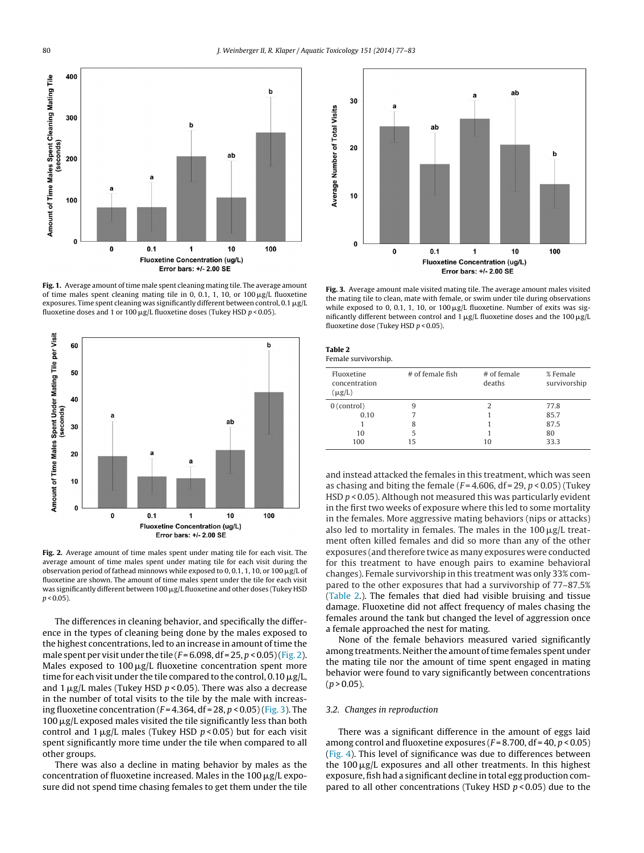<span id="page-3-0"></span>

Fig. 1. Average amount of time male spent cleaning mating tile. The average amount of time males spent cleaning mating tile in 0, 0.1, 1, 10, or 100  $\mu$ g/L fluoxetine exposures. Time spent cleaning was significantly different between control,  $0.1\,\rm \mu g/L$ fluoxetine doses and 1 or 100  $\mu$ g/L fluoxetine doses (Tukey HSD p<0.05).



**Fig. 2.** Average amount of time males spent under mating tile for each visit. The average amount of time males spent under mating tile for each visit during the observation period of fathead minnows while exposed to 0, 0.1, 1, 10, or 100  $\mu$ g/L of fluoxetine are shown. The amount of time males spent under the tile for each visit was significantly different between 100  $\mu$ g/L fluoxetine and other doses (Tukey HSD  $p < 0.05$ ).

The differences in cleaning behavior, and specifically the difference in the types of cleaning being done by the males exposed to the highest concentrations, led to an increase in amount of time the male spent per visit under the tile  $(F=6.098, df=25, p<0.05)$  (Fig. 2). Males exposed to 100  $\mu$ g/L fluoxetine concentration spent more time for each visit under the tile compared to the control, 0.10  $\rm \mu g/L$ , and 1  $\mu$ g/L males (Tukey HSD  $p$  < 0.05). There was also a decrease in the number of total visits to the tile by the male with increasing fluoxetine concentration ( $F = 4.364$ , df = 28, p < 0.05) (Fig. 3). The  $100 \,\mathrm{\upmu g/L}$  exposed males visited the tile significantly less than both control and 1  $\mu$ g/L males (Tukey HSD  $p$  < 0.05) but for each visit spent significantly more time under the tile when compared to all other groups.

There was also a decline in mating behavior by males as the concentration of fluoxetine increased. Males in the 100  $\mu$ g/L exposure did not spend time chasing females to get them under the tile



**Fig. 3.** Average amount male visited mating tile. The average amount males visited the mating tile to clean, mate with female, or swim under tile during observations while exposed to 0, 0.1, 1, 10, or  $100 \mu g/L$  fluoxetine. Number of exits was significantly different between control and 1  $\mu$ g/L fluoxetine doses and the 100  $\mu$ g/L fluoxetine dose (Tukey HSD  $p < 0.05$ ).

| Table 2<br>Female survivorship.            |                  |                         |                          |
|--------------------------------------------|------------------|-------------------------|--------------------------|
| Fluoxetine<br>concentration<br>$(\mu g/L)$ | # of female fish | $#$ of female<br>deaths | % Female<br>survivorship |
| $0$ (control)                              | 9                | 2                       | 77.8                     |
| 0.10                                       |                  |                         | 85.7                     |
|                                            | 8                |                         | 87.5                     |
| 10                                         | 5                |                         | 80                       |
| 100                                        | 15               | 10                      | 33.3                     |

and instead attacked the females in this treatment, which was seen as chasing and biting the female ( $F = 4.606$ , df = 29,  $p < 0.05$ ) (Tukey HSD  $p$  < 0.05). Although not measured this was particularly evident in the first two weeks of exposure where this led to some mortality in the females. More aggressive mating behaviors (nips or attacks) also led to mortality in females. The males in the 100  $\mu$ g/L treatment often killed females and did so more than any of the other exposures (and therefore twice as many exposures were conducted for this treatment to have enough pairs to examine behavioral changes). Female survivorship in this treatment was only 33% compared to the other exposures that had a survivorship of 77–87.5% (Table 2.). The females that died had visible bruising and tissue damage. Fluoxetine did not affect frequency of males chasing the females around the tank but changed the level of aggression once a female approached the nest for mating.

None of the female behaviors measured varied significantly among treatments. Neither the amount of time females spent under the mating tile nor the amount of time spent engaged in mating behavior were found to vary significantly between concentrations  $(p > 0.05)$ .

#### 3.2. Changes in reproduction

There was a significant difference in the amount of eggs laid among control and fluoxetine exposures ( $F = 8.700$ , df = 40,  $p < 0.05$ ) [\(Fig.](#page-4-0) 4). This level of significance was due to differences between the 100  $\mu$ g/L exposures and all other treatments. In this highest exposure, fish had a significant decline in total egg production compared to all other concentrations (Tukey HSD  $p$  < 0.05) due to the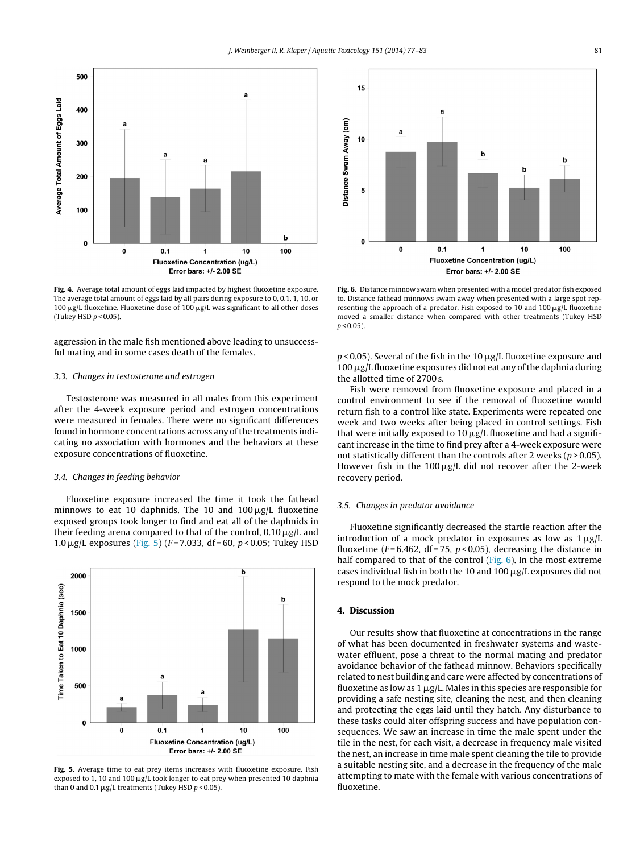<span id="page-4-0"></span>

**Fig. 4.** Average total amount of eggs laid impacted by highest fluoxetine exposure. The average total amount of eggs laid by all pairs during exposure to 0, 0.1, 1, 10, or 100  $\mu$ g/L fluoxetine. Fluoxetine dose of 100  $\mu$ g/L was significant to all other doses (Tukey HSD  $p < 0.05$ ).

aggression in the male fish mentioned above leading to unsuccessful mating and in some cases death of the females.

#### 3.3. Changes in testosterone and estrogen

Testosterone was measured in all males from this experiment after the 4-week exposure period and estrogen concentrations were measured in females. There were no significant differences found in hormone concentrations across any of the treatments indicating no association with hormones and the behaviors at these exposure concentrations of fluoxetine.

#### 3.4. Changes in feeding behavior

Fluoxetine exposure increased the time it took the fathead minnows to eat 10 daphnids. The 10 and 100  $\mu$ g/L fluoxetine exposed groups took longer to find and eat all of the daphnids in their feeding arena compared to that of the control, 0.10  $\mu$ g/L and 1.0  $\mu$ g/L exposures (Fig. 5) (F=7.033, df=60, p<0.05; Tukey HSD



**Fig. 5.** Average time to eat prey items increases with fluoxetine exposure. Fish exposed to 1, 10 and 100  $\mu$ g/L took longer to eat prey when presented 10 daphnia than 0 and 0.1  $\mu$ g/L treatments (Tukey HSD p < 0.05).



**Fig. 6.** Distance minnow swam when presented with a model predator fish exposed to. Distance fathead minnows swam away when presented with a large spot representing the approach of a predator. Fish exposed to 10 and 100  $\mu$ g/L fluoxetine moved a smaller distance when compared with other treatments (Tukey HSD  $p < 0.05$ ).

p < 0.05). Several of the fish in the 10  $\mu$ g/L fluoxetine exposure and  $100 \,\mathrm{\upmu g/L}$  fluoxetine exposures did not eat any of the daphnia during the allotted time of 2700 s.

Fish were removed from fluoxetine exposure and placed in a control environment to see if the removal of fluoxetine would return fish to a control like state. Experiments were repeated one week and two weeks after being placed in control settings. Fish that were initially exposed to 10  $\mu$ g/L fluoxetine and had a significant increase in the time to find prey after a 4-week exposure were not statistically different than the controls after 2 weeks ( $p > 0.05$ ). However fish in the 100  $\mu$ g/L did not recover after the 2-week recovery period.

# 3.5. Changes in predator avoidance

Fluoxetine significantly decreased the startle reaction after the introduction of a mock predator in exposures as low as  $1 \mu g/L$ fluoxetine ( $F = 6.462$ , df = 75,  $p < 0.05$ ), decreasing the distance in half compared to that of the control (Fig. 6). In the most extreme cases individual fish in both the 10 and 100  $\mu$ g/L exposures did not respond to the mock predator.

#### **4. Discussion**

Our results show that fluoxetine at concentrations in the range of what has been documented in freshwater systems and wastewater effluent, pose a threat to the normal mating and predator avoidance behavior of the fathead minnow. Behaviors specifically related to nest building and care were affected by concentrations of fluoxetine as low as 1  $\mu$ g/L. Males in this species are responsible for providing a safe nesting site, cleaning the nest, and then cleaning and protecting the eggs laid until they hatch. Any disturbance to these tasks could alter offspring success and have population consequences. We saw an increase in time the male spent under the tile in the nest, for each visit, a decrease in frequency male visited the nest, an increase in time male spent cleaning the tile to provide a suitable nesting site, and a decrease in the frequency of the male attempting to mate with the female with various concentrations of fluoxetine.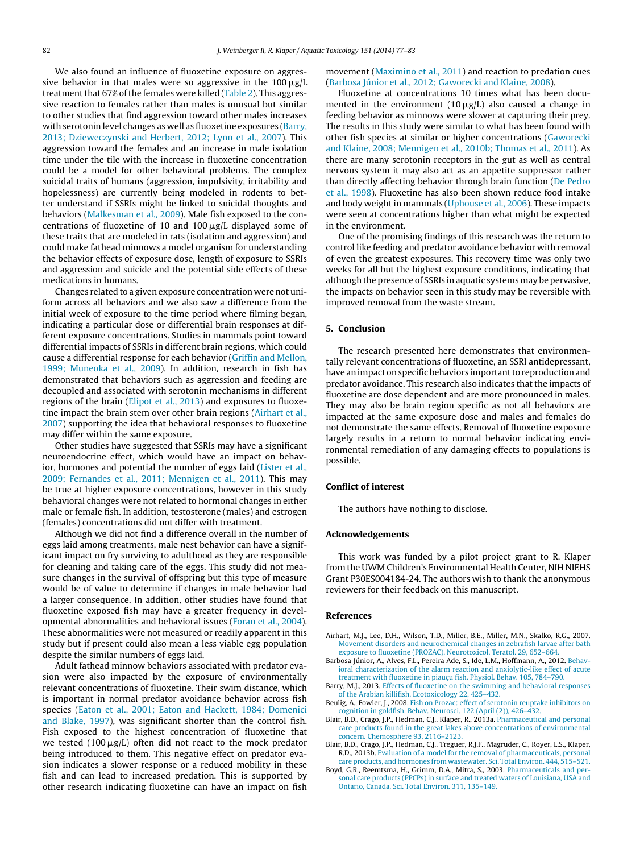<span id="page-5-0"></span>We also found an influence of fluoxetine exposure on aggressive behavior in that males were so aggressive in the 100  $\rm \mu g/L$ treatment that  $67\%$  of the females were killed ([Table](#page-3-0) 2). This aggressive reaction to females rather than males is unusual but similar to other studies that find aggression toward other males increases with serotonin level changes as well as fluoxetine exposures (Barry, 2013; Dzieweczynski and Herbert, 2012; Lynn et al., 2007). This aggression toward the females and an increase in male isolation time under the tile with the increase in fluoxetine concentration could be a model for other behavioral problems. The complex suicidal traits of humans (aggression, impulsivity, irritability and hopelessness) are currently being modeled in rodents to better understand if SSRIs might be linked to suicidal thoughts and behaviors ([Malkesman](#page-6-0) et [al.,](#page-6-0) [2009\).](#page-6-0) Male fish exposed to the concentrations of fluoxetine of 10 and 100  $\mu$ g/L displayed some of these traits that are modeled in rats (isolation and aggression) and could make fathead minnows a model organism for understanding the behavior effects of exposure dose, length of exposure to SSRIs and aggression and suicide and the potential side effects of these medications in humans.

Changes related to a given exposure concentration were not uniform across all behaviors and we also saw a difference from the initial week of exposure to the time period where filming began, indicating a particular dose or differential brain responses at different exposure concentrations. Studies in mammals point toward differential impacts of SSRIs in different brain regions, which could cause a differential response for each behavior [\(Griffin](#page-6-0) [and](#page-6-0) [Mellon,](#page-6-0) [1999;](#page-6-0) [Muneoka](#page-6-0) et [al.,](#page-6-0) [2009\).](#page-6-0) In addition, research in fish has demonstrated that behaviors such as aggression and feeding are decoupled and associated with serotonin mechanisms in different regions of the brain ([Elipot](#page-6-0) et [al.,](#page-6-0) [2013\)](#page-6-0) and exposures to fluoxetine impact the brain stem over other brain regions (Airhart et al., 2007) supporting the idea that behavioral responses to fluoxetine may differ within the same exposure.

Other studies have suggested that SSRIs may have a significant neuroendocrine effect, which would have an impact on behavior, hormones and potential the number of eggs laid [\(Lister](#page-6-0) et [al.,](#page-6-0) [2009;](#page-6-0) [Fernandes](#page-6-0) et [al.,](#page-6-0) [2011;](#page-6-0) [Mennigen](#page-6-0) et [al.,](#page-6-0) [2011\).](#page-6-0) This may be true at higher exposure concentrations, however in this study behavioral changes were not related to hormonal changes in either male or female fish. In addition, testosterone (males) and estrogen (females) concentrations did not differ with treatment.

Although we did not find a difference overall in the number of eggs laid among treatments, male nest behavior can have a significant impact on fry surviving to adulthood as they are responsible for cleaning and taking care of the eggs. This study did not measure changes in the survival of offspring but this type of measure would be of value to determine if changes in male behavior had a larger consequence. In addition, other studies have found that fluoxetine exposed fish may have a greater frequency in developmental abnormalities and behavioral issues ([Foran](#page-6-0) et [al.,](#page-6-0) [2004\).](#page-6-0) These abnormalities were not measured or readily apparent in this study but if present could also mean a less viable egg population despite the similar numbers of eggs laid.

Adult fathead minnow behaviors associated with predator evasion were also impacted by the exposure of environmentally relevant concentrations of fluoxetine. Their swim distance, which is important in normal predator avoidance behavior across fish species [\(Eaton](#page-6-0) et [al.,](#page-6-0) [2001;](#page-6-0) [Eaton](#page-6-0) [and](#page-6-0) [Hackett,](#page-6-0) [1984;](#page-6-0) [Domenici](#page-6-0) [and](#page-6-0) [Blake,](#page-6-0) [1997\),](#page-6-0) was significant shorter than the control fish. Fish exposed to the highest concentration of fluoxetine that we tested (100 $\mu$ g/L) often did not react to the mock predator being introduced to them. This negative effect on predator evasion indicates a slower response or a reduced mobility in these fish and can lead to increased predation. This is supported by other research indicating fluoxetine can have an impact on fish

movement [\(Maximino](#page-6-0) et [al.,](#page-6-0) [2011\)](#page-6-0) and reaction to predation cues (Barbosa Júnior et al., 2012; Gaworecki and Klaine, 2008).

Fluoxetine at concentrations 10 times what has been documented in the environment (10  $\mu$ g/L) also caused a change in feeding behavior as minnows were slower at capturing their prey. The results in this study were similar to what has been found with other fish species at similar or higher concentrations [\(Gaworecki](#page-6-0) [and](#page-6-0) [Klaine,](#page-6-0) [2008;](#page-6-0) [Mennigen](#page-6-0) et [al.,](#page-6-0) [2010b;](#page-6-0) [Thomas](#page-6-0) et [al.,](#page-6-0) [2011\).](#page-6-0) As there are many serotonin receptors in the gut as well as central nervous system it may also act as an appetite suppressor rather than directly affecting behavior through brain function [\(De](#page-6-0) [Pedro](#page-6-0) et [al.,](#page-6-0) [1998\).](#page-6-0) Fluoxetine has also been shown reduce food intake and body weight in mammals [\(Uphouse](#page-6-0) et [al.,](#page-6-0) [2006\).](#page-6-0) These impacts were seen at concentrations higher than what might be expected in the environment.

One of the promising findings of this research was the return to control like feeding and predator avoidance behavior with removal of even the greatest exposures. This recovery time was only two weeks for all but the highest exposure conditions, indicating that although the presence of SSRIs in aquatic systems may be pervasive, the impacts on behavior seen in this study may be reversible with improved removal from the waste stream.

### **5. Conclusion**

The research presented here demonstrates that environmentally relevant concentrations of fluoxetine, an SSRI antidepressant, have an impact on specific behaviors important to reproduction and predator avoidance. This research also indicates that the impacts of fluoxetine are dose dependent and are more pronounced in males. They may also be brain region specific as not all behaviors are impacted at the same exposure dose and males and females do not demonstrate the same effects. Removal of fluoxetine exposure largely results in a return to normal behavior indicating environmental remediation of any damaging effects to populations is possible.

#### **Conflict of interest**

The authors have nothing to disclose.

#### **Acknowledgements**

This work was funded by a pilot project grant to R. Klaper from the UWM Children's Environmental Health Center, NIH NIEHS Grant P30ES004184-24. The authors wish to thank the anonymous reviewers for their feedback on this manuscript.

#### **References**

- Airhart, M.J., Lee, D.H., Wilson, T.D., Miller, B.E., Miller, M.N., Skalko, R.G., 2007. [Movement](http://refhub.elsevier.com/S0166-445X(13)00273-7/sbref0005) [disorders](http://refhub.elsevier.com/S0166-445X(13)00273-7/sbref0005) [and](http://refhub.elsevier.com/S0166-445X(13)00273-7/sbref0005) [neurochemical](http://refhub.elsevier.com/S0166-445X(13)00273-7/sbref0005) [changes](http://refhub.elsevier.com/S0166-445X(13)00273-7/sbref0005) [in](http://refhub.elsevier.com/S0166-445X(13)00273-7/sbref0005) [zebrafish](http://refhub.elsevier.com/S0166-445X(13)00273-7/sbref0005) [larvae](http://refhub.elsevier.com/S0166-445X(13)00273-7/sbref0005) [after](http://refhub.elsevier.com/S0166-445X(13)00273-7/sbref0005) [bath](http://refhub.elsevier.com/S0166-445X(13)00273-7/sbref0005) [exposure](http://refhub.elsevier.com/S0166-445X(13)00273-7/sbref0005) [to](http://refhub.elsevier.com/S0166-445X(13)00273-7/sbref0005) [fluoxetine](http://refhub.elsevier.com/S0166-445X(13)00273-7/sbref0005) [\(PROZAC\).](http://refhub.elsevier.com/S0166-445X(13)00273-7/sbref0005) [Neurotoxicol.](http://refhub.elsevier.com/S0166-445X(13)00273-7/sbref0005) [Teratol.](http://refhub.elsevier.com/S0166-445X(13)00273-7/sbref0005) [29,](http://refhub.elsevier.com/S0166-445X(13)00273-7/sbref0005) [652–664.](http://refhub.elsevier.com/S0166-445X(13)00273-7/sbref0005)
- Barbosa Júnior, A., Alves, F.L., Pereira Ade, S., Ide, L.M., Hoffmann, A., 2012. [Behav](http://refhub.elsevier.com/S0166-445X(13)00273-7/sbref0015)[ioral](http://refhub.elsevier.com/S0166-445X(13)00273-7/sbref0015) [characterization](http://refhub.elsevier.com/S0166-445X(13)00273-7/sbref0015) [of](http://refhub.elsevier.com/S0166-445X(13)00273-7/sbref0015) [the](http://refhub.elsevier.com/S0166-445X(13)00273-7/sbref0015) [alarm](http://refhub.elsevier.com/S0166-445X(13)00273-7/sbref0015) [reaction](http://refhub.elsevier.com/S0166-445X(13)00273-7/sbref0015) [and](http://refhub.elsevier.com/S0166-445X(13)00273-7/sbref0015) [anxiolytic-like](http://refhub.elsevier.com/S0166-445X(13)00273-7/sbref0015) [effect](http://refhub.elsevier.com/S0166-445X(13)00273-7/sbref0015) [of](http://refhub.elsevier.com/S0166-445X(13)00273-7/sbref0015) [acute](http://refhub.elsevier.com/S0166-445X(13)00273-7/sbref0015) [treatment](http://refhub.elsevier.com/S0166-445X(13)00273-7/sbref0015) [with](http://refhub.elsevier.com/S0166-445X(13)00273-7/sbref0015) [fluoxetine](http://refhub.elsevier.com/S0166-445X(13)00273-7/sbref0015) [in](http://refhub.elsevier.com/S0166-445X(13)00273-7/sbref0015) pia[u](http://refhub.elsevier.com/S0166-445X(13)00273-7/sbref0015)cu [fish.](http://refhub.elsevier.com/S0166-445X(13)00273-7/sbref0015) [Physiol.](http://refhub.elsevier.com/S0166-445X(13)00273-7/sbref0015) [Behav.](http://refhub.elsevier.com/S0166-445X(13)00273-7/sbref0015) [105,](http://refhub.elsevier.com/S0166-445X(13)00273-7/sbref0015) [784–790.](http://refhub.elsevier.com/S0166-445X(13)00273-7/sbref0015)
- Barry, M.J., 2013. [Effects](http://refhub.elsevier.com/S0166-445X(13)00273-7/sbref0020) [of](http://refhub.elsevier.com/S0166-445X(13)00273-7/sbref0020) [fluoxetine](http://refhub.elsevier.com/S0166-445X(13)00273-7/sbref0020) [on](http://refhub.elsevier.com/S0166-445X(13)00273-7/sbref0020) [the](http://refhub.elsevier.com/S0166-445X(13)00273-7/sbref0020) [swimming](http://refhub.elsevier.com/S0166-445X(13)00273-7/sbref0020) [and](http://refhub.elsevier.com/S0166-445X(13)00273-7/sbref0020) [behavioral](http://refhub.elsevier.com/S0166-445X(13)00273-7/sbref0020) [responses](http://refhub.elsevier.com/S0166-445X(13)00273-7/sbref0020) [of](http://refhub.elsevier.com/S0166-445X(13)00273-7/sbref0020) [the](http://refhub.elsevier.com/S0166-445X(13)00273-7/sbref0020) [Arabian](http://refhub.elsevier.com/S0166-445X(13)00273-7/sbref0020) [killifish.](http://refhub.elsevier.com/S0166-445X(13)00273-7/sbref0020) [Ecotoxicology](http://refhub.elsevier.com/S0166-445X(13)00273-7/sbref0020) [22,](http://refhub.elsevier.com/S0166-445X(13)00273-7/sbref0020) [425–432.](http://refhub.elsevier.com/S0166-445X(13)00273-7/sbref0020)
- Beulig, A., Fowler, J., 2008. [Fish](http://refhub.elsevier.com/S0166-445X(13)00273-7/sbref0025) [on](http://refhub.elsevier.com/S0166-445X(13)00273-7/sbref0025) [Prozac:](http://refhub.elsevier.com/S0166-445X(13)00273-7/sbref0025) [effect](http://refhub.elsevier.com/S0166-445X(13)00273-7/sbref0025) [of](http://refhub.elsevier.com/S0166-445X(13)00273-7/sbref0025) [serotonin](http://refhub.elsevier.com/S0166-445X(13)00273-7/sbref0025) [reuptake](http://refhub.elsevier.com/S0166-445X(13)00273-7/sbref0025) [inhibitors](http://refhub.elsevier.com/S0166-445X(13)00273-7/sbref0025) [on](http://refhub.elsevier.com/S0166-445X(13)00273-7/sbref0025) [cognition](http://refhub.elsevier.com/S0166-445X(13)00273-7/sbref0025) [in](http://refhub.elsevier.com/S0166-445X(13)00273-7/sbref0025) [goldfish.](http://refhub.elsevier.com/S0166-445X(13)00273-7/sbref0025) [Behav.](http://refhub.elsevier.com/S0166-445X(13)00273-7/sbref0025) [Neurosci.](http://refhub.elsevier.com/S0166-445X(13)00273-7/sbref0025) [122](http://refhub.elsevier.com/S0166-445X(13)00273-7/sbref0025) [\(April](http://refhub.elsevier.com/S0166-445X(13)00273-7/sbref0025) [\(2\)\),](http://refhub.elsevier.com/S0166-445X(13)00273-7/sbref0025) [426–432.](http://refhub.elsevier.com/S0166-445X(13)00273-7/sbref0025)
- Blair, B.D., Crago, J.P., Hedman, C.J., Klaper, R., 2013a. [Pharmaceutical](http://refhub.elsevier.com/S0166-445X(13)00273-7/sbref0030) [and](http://refhub.elsevier.com/S0166-445X(13)00273-7/sbref0030) [personal](http://refhub.elsevier.com/S0166-445X(13)00273-7/sbref0030) [care](http://refhub.elsevier.com/S0166-445X(13)00273-7/sbref0030) [products](http://refhub.elsevier.com/S0166-445X(13)00273-7/sbref0030) [found](http://refhub.elsevier.com/S0166-445X(13)00273-7/sbref0030) [in](http://refhub.elsevier.com/S0166-445X(13)00273-7/sbref0030) [the](http://refhub.elsevier.com/S0166-445X(13)00273-7/sbref0030) [great](http://refhub.elsevier.com/S0166-445X(13)00273-7/sbref0030) [lakes](http://refhub.elsevier.com/S0166-445X(13)00273-7/sbref0030) [above](http://refhub.elsevier.com/S0166-445X(13)00273-7/sbref0030) [concentrations](http://refhub.elsevier.com/S0166-445X(13)00273-7/sbref0030) [of](http://refhub.elsevier.com/S0166-445X(13)00273-7/sbref0030) [environmental](http://refhub.elsevier.com/S0166-445X(13)00273-7/sbref0030) [concern.](http://refhub.elsevier.com/S0166-445X(13)00273-7/sbref0030) [Chemosphere](http://refhub.elsevier.com/S0166-445X(13)00273-7/sbref0030) [93,](http://refhub.elsevier.com/S0166-445X(13)00273-7/sbref0030) [2116–2123.](http://refhub.elsevier.com/S0166-445X(13)00273-7/sbref0030)
- Blair, B.D., Crago, J.P., Hedman, C.J., Treguer, R.J.F., Magruder, C., Royer, L.S., Klaper, R.D., 2013b. [Evaluation](http://refhub.elsevier.com/S0166-445X(13)00273-7/sbref0035) [of](http://refhub.elsevier.com/S0166-445X(13)00273-7/sbref0035) [a](http://refhub.elsevier.com/S0166-445X(13)00273-7/sbref0035) [model](http://refhub.elsevier.com/S0166-445X(13)00273-7/sbref0035) [for](http://refhub.elsevier.com/S0166-445X(13)00273-7/sbref0035) [the](http://refhub.elsevier.com/S0166-445X(13)00273-7/sbref0035) [removal](http://refhub.elsevier.com/S0166-445X(13)00273-7/sbref0035) [of](http://refhub.elsevier.com/S0166-445X(13)00273-7/sbref0035) [pharmaceuticals,](http://refhub.elsevier.com/S0166-445X(13)00273-7/sbref0035) [personal](http://refhub.elsevier.com/S0166-445X(13)00273-7/sbref0035) [care](http://refhub.elsevier.com/S0166-445X(13)00273-7/sbref0035) [products,](http://refhub.elsevier.com/S0166-445X(13)00273-7/sbref0035) [and](http://refhub.elsevier.com/S0166-445X(13)00273-7/sbref0035) [hormones](http://refhub.elsevier.com/S0166-445X(13)00273-7/sbref0035) [from](http://refhub.elsevier.com/S0166-445X(13)00273-7/sbref0035) [wastewater.](http://refhub.elsevier.com/S0166-445X(13)00273-7/sbref0035) [Sci.](http://refhub.elsevier.com/S0166-445X(13)00273-7/sbref0035) [Total](http://refhub.elsevier.com/S0166-445X(13)00273-7/sbref0035) [Environ.](http://refhub.elsevier.com/S0166-445X(13)00273-7/sbref0035) [444,](http://refhub.elsevier.com/S0166-445X(13)00273-7/sbref0035) [515](http://refhub.elsevier.com/S0166-445X(13)00273-7/sbref0035)–[521.](http://refhub.elsevier.com/S0166-445X(13)00273-7/sbref0035)
- Boyd, G.R., Reemtsma, H., Grimm, D.A., Mitra, S., 2003. [Pharmaceuticals](http://refhub.elsevier.com/S0166-445X(13)00273-7/sbref0040) [and](http://refhub.elsevier.com/S0166-445X(13)00273-7/sbref0040) [per](http://refhub.elsevier.com/S0166-445X(13)00273-7/sbref0040)[sonal](http://refhub.elsevier.com/S0166-445X(13)00273-7/sbref0040) [care](http://refhub.elsevier.com/S0166-445X(13)00273-7/sbref0040) [products](http://refhub.elsevier.com/S0166-445X(13)00273-7/sbref0040) [\(PPCPs\)](http://refhub.elsevier.com/S0166-445X(13)00273-7/sbref0040) [in](http://refhub.elsevier.com/S0166-445X(13)00273-7/sbref0040) [surface](http://refhub.elsevier.com/S0166-445X(13)00273-7/sbref0040) [and](http://refhub.elsevier.com/S0166-445X(13)00273-7/sbref0040) [treated](http://refhub.elsevier.com/S0166-445X(13)00273-7/sbref0040) [waters](http://refhub.elsevier.com/S0166-445X(13)00273-7/sbref0040) [of](http://refhub.elsevier.com/S0166-445X(13)00273-7/sbref0040) [Louisiana,](http://refhub.elsevier.com/S0166-445X(13)00273-7/sbref0040) [USA](http://refhub.elsevier.com/S0166-445X(13)00273-7/sbref0040) [and](http://refhub.elsevier.com/S0166-445X(13)00273-7/sbref0040) [Ontario,](http://refhub.elsevier.com/S0166-445X(13)00273-7/sbref0040) [Canada.](http://refhub.elsevier.com/S0166-445X(13)00273-7/sbref0040) [Sci.](http://refhub.elsevier.com/S0166-445X(13)00273-7/sbref0040) [Total](http://refhub.elsevier.com/S0166-445X(13)00273-7/sbref0040) [Environ.](http://refhub.elsevier.com/S0166-445X(13)00273-7/sbref0040) [311,](http://refhub.elsevier.com/S0166-445X(13)00273-7/sbref0040) [135](http://refhub.elsevier.com/S0166-445X(13)00273-7/sbref0040)–[149.](http://refhub.elsevier.com/S0166-445X(13)00273-7/sbref0040)